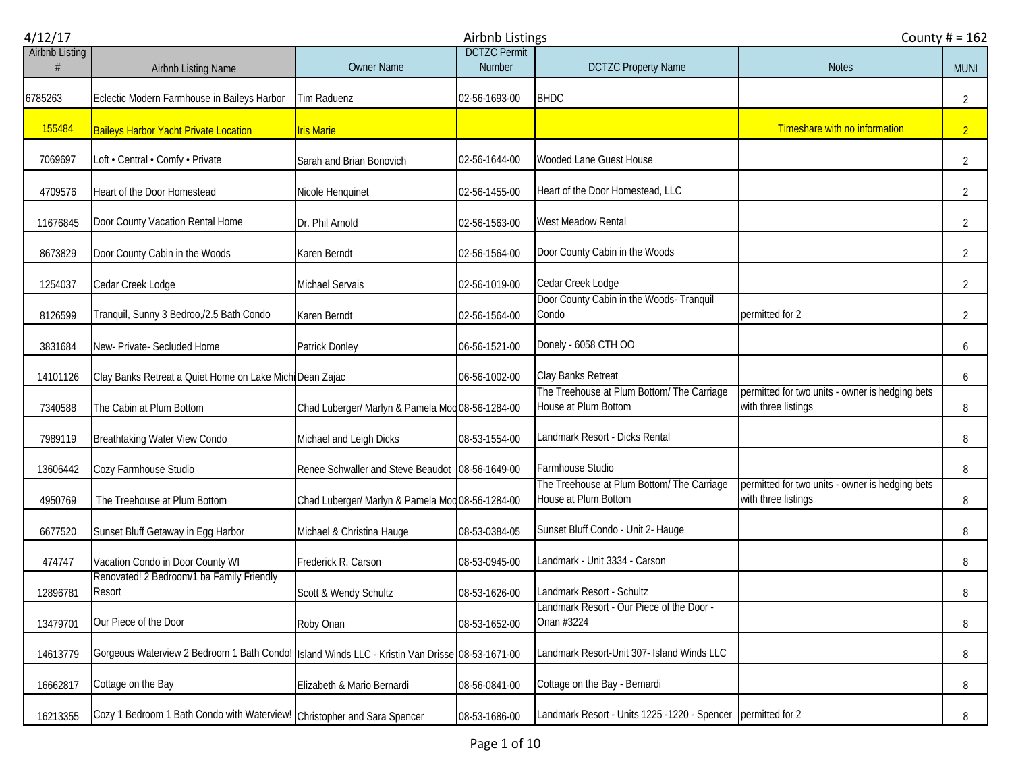| 4/12/17               |                                                                                                |                                                  | Airbnb Listings                      | County $# = 162$                                                   |                                                                        |                |
|-----------------------|------------------------------------------------------------------------------------------------|--------------------------------------------------|--------------------------------------|--------------------------------------------------------------------|------------------------------------------------------------------------|----------------|
| <b>Airbnb Listing</b> | Airbnb Listing Name                                                                            | <b>Owner Name</b>                                | <b>DCTZC Permit</b><br><b>Number</b> | <b>DCTZC Property Name</b>                                         | <b>Notes</b>                                                           | <b>MUNI</b>    |
| 6785263               | Eclectic Modern Farmhouse in Baileys Harbor                                                    | Tim Raduenz                                      | 02-56-1693-00                        | <b>BHDC</b>                                                        |                                                                        | $\overline{2}$ |
| 155484                | <b>Baileys Harbor Yacht Private Location</b>                                                   | <b>Iris Marie</b>                                |                                      |                                                                    | Timeshare with no information                                          | 2 <sup>2</sup> |
| 7069697               | Loft • Central • Comfy • Private                                                               | Sarah and Brian Bonovich                         | 02-56-1644-00                        | Wooded Lane Guest House                                            |                                                                        | $\overline{2}$ |
| 4709576               | Heart of the Door Homestead                                                                    | Nicole Henquinet                                 | 02-56-1455-00                        | Heart of the Door Homestead, LLC                                   |                                                                        | $\overline{2}$ |
| 11676845              | Door County Vacation Rental Home                                                               | Dr. Phil Arnold                                  | 02-56-1563-00                        | West Meadow Rental                                                 |                                                                        | $\overline{2}$ |
| 8673829               | Door County Cabin in the Woods                                                                 | Karen Berndt                                     | 02-56-1564-00                        | Door County Cabin in the Woods                                     |                                                                        | $\overline{2}$ |
| 1254037               | Cedar Creek Lodge                                                                              | Michael Servais                                  | 02-56-1019-00                        | Cedar Creek Lodge                                                  |                                                                        | $\overline{2}$ |
| 8126599               | Tranquil, Sunny 3 Bedroo,/2.5 Bath Condo                                                       | Karen Berndt                                     | 02-56-1564-00                        | Door County Cabin in the Woods- Tranquil<br>Condo                  | permitted for 2                                                        | $\overline{2}$ |
| 3831684               | New- Private- Secluded Home                                                                    | Patrick Donley                                   | 06-56-1521-00                        | Donely - 6058 CTH OO                                               |                                                                        | 6              |
| 14101126              | Clay Banks Retreat a Quiet Home on Lake Michi Dean Zajac                                       |                                                  | 06-56-1002-00                        | Clay Banks Retreat                                                 |                                                                        | 6              |
| 7340588               | The Cabin at Plum Bottom                                                                       | Chad Luberger/ Marlyn & Pamela Mod 08-56-1284-00 |                                      | The Treehouse at Plum Bottom/ The Carriage<br>House at Plum Bottom | permitted for two units - owner is hedging bets<br>with three listings | 8              |
| 7989119               | Breathtaking Water View Condo                                                                  | Michael and Leigh Dicks                          | 08-53-1554-00                        | Landmark Resort - Dicks Rental                                     |                                                                        | 8              |
| 13606442              | Cozy Farmhouse Studio                                                                          | Renee Schwaller and Steve Beaudot 08-56-1649-00  |                                      | Farmhouse Studio                                                   |                                                                        | 8              |
| 4950769               | The Treehouse at Plum Bottom                                                                   | Chad Luberger/ Marlyn & Pamela Mod 08-56-1284-00 |                                      | The Treehouse at Plum Bottom/ The Carriage<br>House at Plum Bottom | permitted for two units - owner is hedging bets<br>with three listings | 8              |
| 6677520               | Sunset Bluff Getaway in Egg Harbor                                                             | Michael & Christina Hauge                        | 08-53-0384-05                        | Sunset Bluff Condo - Unit 2- Hauge                                 |                                                                        | 8              |
| 474747                | Vacation Condo in Door County WI                                                               | Frederick R. Carson                              | 08-53-0945-00                        | Landmark - Unit 3334 - Carson                                      |                                                                        | 8              |
| 12896781              | Renovated! 2 Bedroom/1 ba Family Friendly<br>Resort                                            | Scott & Wendy Schultz                            | 08-53-1626-00                        | Landmark Resort - Schultz                                          |                                                                        | 8              |
| 13479701              | Our Piece of the Door                                                                          | Roby Onan                                        | 08-53-1652-00                        | Landmark Resort - Our Piece of the Door -<br>Onan #3224            |                                                                        | 8              |
| 14613779              | Gorgeous Waterview 2 Bedroom 1 Bath Condo! Island Winds LLC - Kristin Van Drisse 08-53-1671-00 |                                                  |                                      | Landmark Resort-Unit 307- Island Winds LLC                         |                                                                        | 8              |
| 16662817              | Cottage on the Bay                                                                             | Elizabeth & Mario Bernardi                       | 08-56-0841-00                        | Cottage on the Bay - Bernardi                                      |                                                                        | 8              |
| 16213355              | Cozy 1 Bedroom 1 Bath Condo with Waterview! Christopher and Sara Spencer                       |                                                  | 08-53-1686-00                        | Landmark Resort - Units 1225 -1220 - Spencer                       | permitted for 2                                                        | 8              |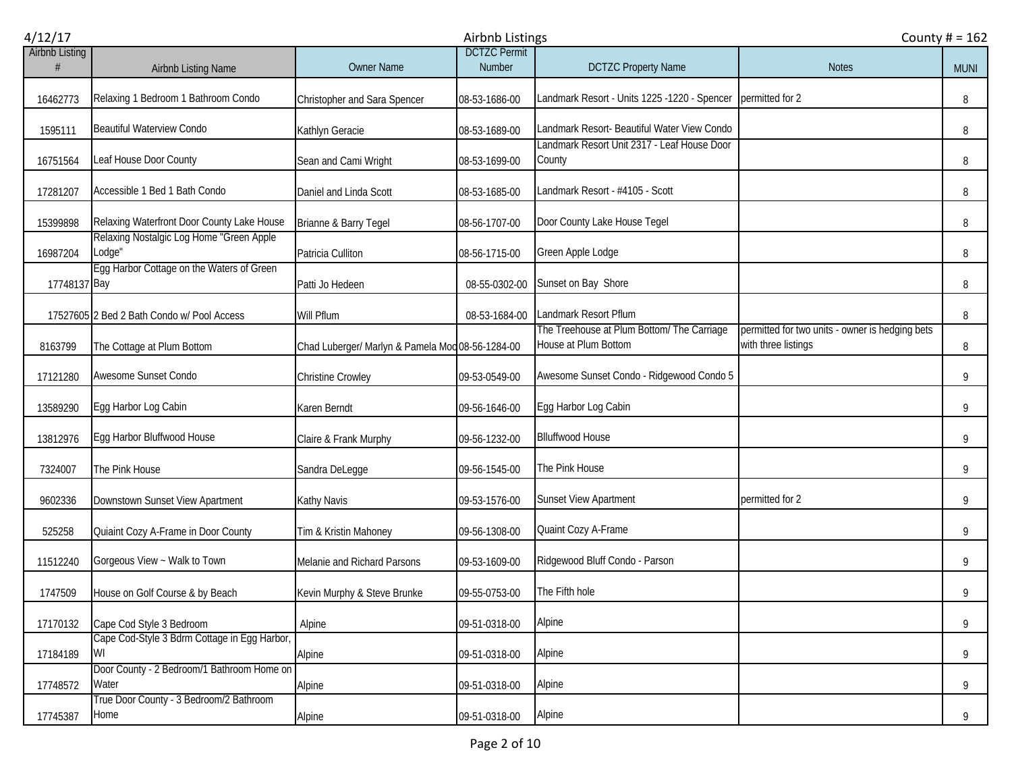| 4/12/17               |                                                     |                                                  | Airbnb Listings                      |                                                                    | County $# = 162$                                                       |             |
|-----------------------|-----------------------------------------------------|--------------------------------------------------|--------------------------------------|--------------------------------------------------------------------|------------------------------------------------------------------------|-------------|
| <b>Airbnb Listing</b> | Airbnb Listing Name                                 | <b>Owner Name</b>                                | <b>DCTZC</b> Permit<br><b>Number</b> | <b>DCTZC Property Name</b>                                         | <b>Notes</b>                                                           | <b>MUNI</b> |
| 16462773              | Relaxing 1 Bedroom 1 Bathroom Condo                 | Christopher and Sara Spencer                     | 08-53-1686-00                        | Landmark Resort - Units 1225 -1220 - Spencer permitted for 2       |                                                                        | 8           |
| 1595111               | <b>Beautiful Waterview Condo</b>                    | Kathlyn Geracie                                  | 08-53-1689-00                        | Landmark Resort- Beautiful Water View Condo                        |                                                                        | 8           |
| 16751564              | Leaf House Door County                              | Sean and Cami Wright                             | 08-53-1699-00                        | Landmark Resort Unit 2317 - Leaf House Door<br>County              |                                                                        | 8           |
| 17281207              | Accessible 1 Bed 1 Bath Condo                       | Daniel and Linda Scott                           | 08-53-1685-00                        | Landmark Resort - #4105 - Scott                                    |                                                                        | 8           |
| 15399898              | Relaxing Waterfront Door County Lake House          | Brianne & Barry Tegel                            | 08-56-1707-00                        | Door County Lake House Tegel                                       |                                                                        | 8           |
| 16987204              | Relaxing Nostalgic Log Home "Green Apple<br>Lodge"  | Patricia Culliton                                | 08-56-1715-00                        | Green Apple Lodge                                                  |                                                                        | 8           |
| 17748137 Bay          | Egg Harbor Cottage on the Waters of Green           | Patti Jo Hedeen                                  | 08-55-0302-00                        | Sunset on Bay Shore                                                |                                                                        | 8           |
|                       | 17527605 2 Bed 2 Bath Condo w/ Pool Access          | Will Pflum                                       | 08-53-1684-00                        | Landmark Resort Pflum                                              |                                                                        | 8           |
| 8163799               | The Cottage at Plum Bottom                          | Chad Luberger/ Marlyn & Pamela Mod 08-56-1284-00 |                                      | The Treehouse at Plum Bottom/ The Carriage<br>House at Plum Bottom | permitted for two units - owner is hedging bets<br>with three listings | 8           |
| 17121280              | Awesome Sunset Condo                                | Christine Crowley                                | 09-53-0549-00                        | Awesome Sunset Condo - Ridgewood Condo 5                           |                                                                        | 9           |
| 13589290              | Egg Harbor Log Cabin                                | Karen Berndt                                     | 09-56-1646-00                        | Egg Harbor Log Cabin                                               |                                                                        | 9           |
| 13812976              | Egg Harbor Bluffwood House                          | Claire & Frank Murphy                            | 09-56-1232-00                        | <b>Blluffwood House</b>                                            |                                                                        | 9           |
| 7324007               | The Pink House                                      | Sandra DeLegge                                   | 09-56-1545-00                        | The Pink House                                                     |                                                                        | 9           |
| 9602336               | Downstown Sunset View Apartment                     | Kathy Navis                                      | 09-53-1576-00                        | Sunset View Apartment                                              | permitted for 2                                                        | 9           |
| 525258                | Quiaint Cozy A-Frame in Door County                 | Tim & Kristin Mahoney                            | 09-56-1308-00                        | Quaint Cozy A-Frame                                                |                                                                        | 9           |
| 11512240              | Gorgeous View ~ Walk to Town                        | Melanie and Richard Parsons                      | 09-53-1609-00                        | Ridgewood Bluff Condo - Parson                                     |                                                                        | 9           |
| 1747509               | House on Golf Course & by Beach                     | Kevin Murphy & Steve Brunke                      | 09-55-0753-00                        | The Fifth hole                                                     |                                                                        | 9           |
| 17170132              | Cape Cod Style 3 Bedroom                            | Alpine                                           | 09-51-0318-00                        | Alpine                                                             |                                                                        | 9           |
| 17184189              | Cape Cod-Style 3 Bdrm Cottage in Egg Harbor,<br>WI  | Alpine                                           | 09-51-0318-00                        | Alpine                                                             |                                                                        | 9           |
| 17748572              | Door County - 2 Bedroom/1 Bathroom Home on<br>Water | Alpine                                           | 09-51-0318-00                        | Alpine                                                             |                                                                        | 9           |
| 17745387              | True Door County - 3 Bedroom/2 Bathroom<br>Home     | Alpine                                           | 09-51-0318-00                        | Alpine                                                             |                                                                        | 9           |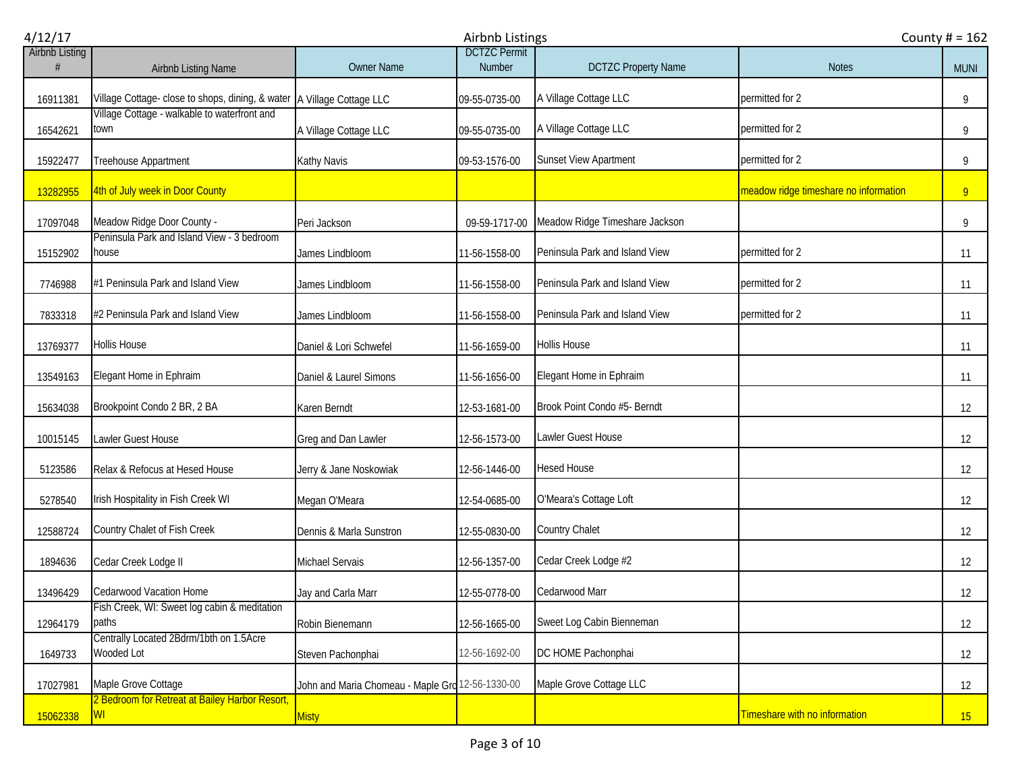| 4/12/17               |                                                                          |                                                  | <b>Airbnb Listings</b>               | County $# = 162$               |                                       |                |
|-----------------------|--------------------------------------------------------------------------|--------------------------------------------------|--------------------------------------|--------------------------------|---------------------------------------|----------------|
| <b>Airbnb Listing</b> | Airbnb Listing Name                                                      | <b>Owner Name</b>                                | <b>DCTZC Permit</b><br><b>Number</b> | <b>DCTZC Property Name</b>     | <b>Notes</b>                          | <b>MUNI</b>    |
| 16911381              | Village Cottage- close to shops, dining, & water   A Village Cottage LLC |                                                  | 09-55-0735-00                        | A Village Cottage LLC          | permitted for 2                       | 9              |
| 16542621              | Village Cottage - walkable to waterfront and<br>town                     | A Village Cottage LLC                            | 09-55-0735-00                        | A Village Cottage LLC          | permitted for 2                       | 9              |
| 15922477              | Treehouse Appartment                                                     | Kathy Navis                                      | 09-53-1576-00                        | Sunset View Apartment          | permitted for 2                       | 9              |
| 13282955              | 4th of July week in Door County                                          |                                                  |                                      |                                | meadow ridge timeshare no information | 9 <sub>o</sub> |
| 17097048              | Meadow Ridge Door County -                                               | Peri Jackson                                     | 09-59-1717-00                        | Meadow Ridge Timeshare Jackson |                                       | 9              |
| 15152902              | Peninsula Park and Island View - 3 bedroom<br>house                      | James Lindbloom                                  | 11-56-1558-00                        | Peninsula Park and Island View | permitted for 2                       | 11             |
| 7746988               | #1 Peninsula Park and Island View                                        | James Lindbloom                                  | 11-56-1558-00                        | Peninsula Park and Island View | permitted for 2                       | 11             |
| 7833318               | #2 Peninsula Park and Island View                                        | James Lindbloom                                  | 11-56-1558-00                        | Peninsula Park and Island View | permitted for 2                       | 11             |
| 13769377              | <b>Hollis House</b>                                                      | Daniel & Lori Schwefel                           | 11-56-1659-00                        | <b>Hollis House</b>            |                                       | 11             |
| 13549163              | Elegant Home in Ephraim                                                  | Daniel & Laurel Simons                           | 11-56-1656-00                        | Elegant Home in Ephraim        |                                       | 11             |
| 15634038              | Brookpoint Condo 2 BR, 2 BA                                              | Karen Berndt                                     | 12-53-1681-00                        | Brook Point Condo #5- Berndt   |                                       | 12             |
| 10015145              | Lawler Guest House                                                       | Greg and Dan Lawler                              | 12-56-1573-00                        | <b>Lawler Guest House</b>      |                                       | 12             |
| 5123586               | Relax & Refocus at Hesed House                                           | Jerry & Jane Noskowiak                           | 12-56-1446-00                        | <b>Hesed House</b>             |                                       | 12             |
| 5278540               | Irish Hospitality in Fish Creek WI                                       | Megan O'Meara                                    | 12-54-0685-00                        | O'Meara's Cottage Loft         |                                       | 12             |
| 12588724              | Country Chalet of Fish Creek                                             | Dennis & Marla Sunstron                          | 12-55-0830-00                        | Country Chalet                 |                                       | 12             |
| 1894636               | Cedar Creek Lodge II                                                     | Michael Servais                                  | 12-56-1357-00                        | Cedar Creek Lodge #2           |                                       | 12             |
| 13496429              | Cedarwood Vacation Home                                                  | Jay and Carla Marr                               | 12-55-0778-00                        | Cedarwood Marr                 |                                       | 12             |
| 12964179              | Fish Creek, WI: Sweet log cabin & meditation<br>paths                    | Robin Bienemann                                  | 12-56-1665-00                        | Sweet Log Cabin Bienneman      |                                       | 12             |
| 1649733               | Centrally Located 2Bdrm/1bth on 1.5Acre<br>Wooded Lot                    | Steven Pachonphai                                | 12-56-1692-00                        | DC HOME Pachonphai             |                                       | 12             |
| 17027981              | Maple Grove Cottage                                                      | John and Maria Chomeau - Maple Grd 12-56-1330-00 |                                      | Maple Grove Cottage LLC        |                                       | 12             |
| 15062338              | 2 Bedroom for Retreat at Bailey Harbor Resort,<br>WI                     | <b>Misty</b>                                     |                                      |                                | Timeshare with no information         | 15             |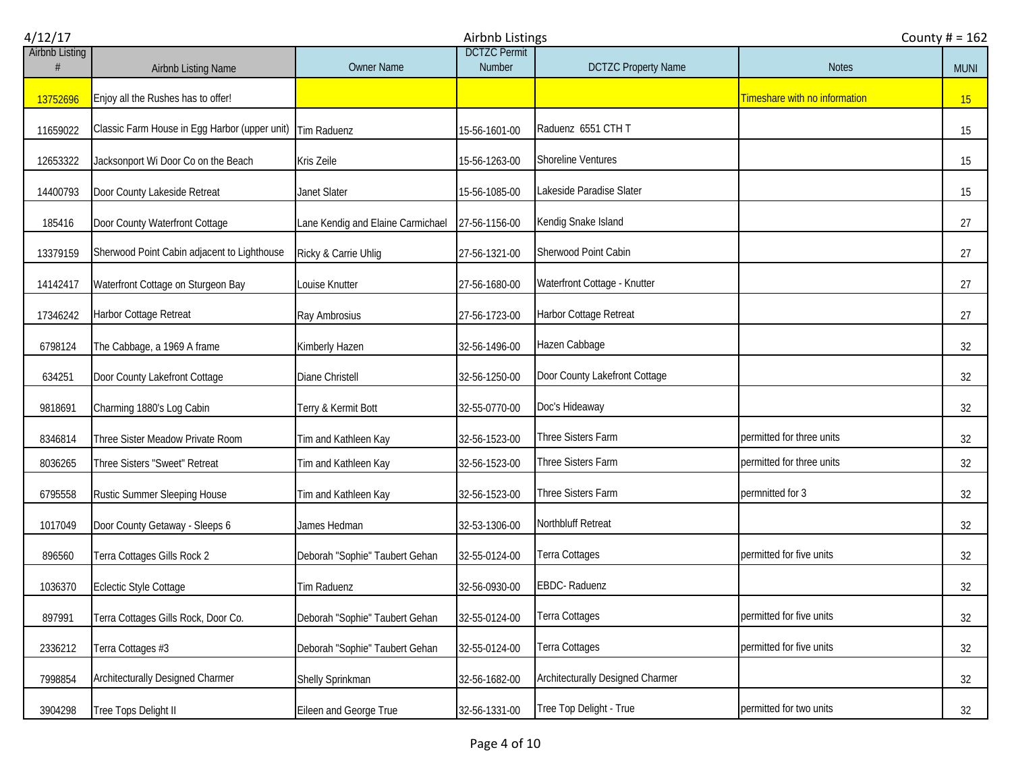| 4/12/17               | Airbnb Listings                               |                                   |                               |                                  |                               |             |
|-----------------------|-----------------------------------------------|-----------------------------------|-------------------------------|----------------------------------|-------------------------------|-------------|
| <b>Airbnb Listing</b> | Airbnb Listing Name                           | <b>Owner Name</b>                 | <b>DCTZC Permit</b><br>Number | <b>DCTZC Property Name</b>       | <b>Notes</b>                  | <b>MUNI</b> |
| 13752696              | Enjoy all the Rushes has to offer!            |                                   |                               |                                  | Timeshare with no information | 15          |
| 11659022              | Classic Farm House in Egg Harbor (upper unit) | Tim Raduenz                       | 15-56-1601-00                 | Raduenz 6551 CTH T               |                               | 15          |
| 12653322              | Jacksonport Wi Door Co on the Beach           | Kris Zeile                        | 15-56-1263-00                 | <b>Shoreline Ventures</b>        |                               | 15          |
| 14400793              | Door County Lakeside Retreat                  | Janet Slater                      | 15-56-1085-00                 | Lakeside Paradise Slater         |                               | 15          |
| 185416                | Door County Waterfront Cottage                | Lane Kendig and Elaine Carmichael | 27-56-1156-00                 | Kendig Snake Island              |                               | 27          |
| 13379159              | Sherwood Point Cabin adjacent to Lighthouse   | Ricky & Carrie Uhlig              | 27-56-1321-00                 | Sherwood Point Cabin             |                               | 27          |
| 14142417              | Waterfront Cottage on Sturgeon Bay            | Louise Knutter                    | 27-56-1680-00                 | Waterfront Cottage - Knutter     |                               | 27          |
| 17346242              | Harbor Cottage Retreat                        | Ray Ambrosius                     | 27-56-1723-00                 | Harbor Cottage Retreat           |                               | 27          |
| 6798124               | The Cabbage, a 1969 A frame                   | Kimberly Hazen                    | 32-56-1496-00                 | Hazen Cabbage                    |                               | 32          |
| 634251                | Door County Lakefront Cottage                 | Diane Christell                   | 32-56-1250-00                 | Door County Lakefront Cottage    |                               | 32          |
| 9818691               | Charming 1880's Log Cabin                     | Terry & Kermit Bott               | 32-55-0770-00                 | Doc's Hideaway                   |                               | 32          |
| 8346814               | Three Sister Meadow Private Room              | Tim and Kathleen Kay              | 32-56-1523-00                 | Three Sisters Farm               | permitted for three units     | 32          |
| 8036265               | Three Sisters "Sweet" Retreat                 | Tim and Kathleen Kay              | 32-56-1523-00                 | Three Sisters Farm               | permitted for three units     | 32          |
| 6795558               | <b>Rustic Summer Sleeping House</b>           | Tim and Kathleen Kay              | 32-56-1523-00                 | Three Sisters Farm               | permnitted for 3              | 32          |
| 1017049               | Door County Getaway - Sleeps 6                | James Hedman                      | 32-53-1306-00                 | Northbluff Retreat               |                               | 32          |
| 896560                | Terra Cottages Gills Rock 2                   | Deborah "Sophie" Taubert Gehan    | 32-55-0124-00                 | Terra Cottages                   | permitted for five units      | 32          |
| 1036370               | Eclectic Style Cottage                        | Tim Raduenz                       | 32-56-0930-00                 | EBDC-Raduenz                     |                               | 32          |
| 897991                | Terra Cottages Gills Rock, Door Co.           | Deborah "Sophie" Taubert Gehan    | 32-55-0124-00                 | Terra Cottages                   | permitted for five units      | 32          |
| 2336212               | Terra Cottages #3                             | Deborah "Sophie" Taubert Gehan    | 32-55-0124-00                 | Terra Cottages                   | permitted for five units      | 32          |
| 7998854               | Architecturally Designed Charmer              | Shelly Sprinkman                  | 32-56-1682-00                 | Architecturally Designed Charmer |                               | 32          |
| 3904298               | Tree Tops Delight II                          | Eileen and George True            | 32-56-1331-00                 | Tree Top Delight - True          | permitted for two units       | 32          |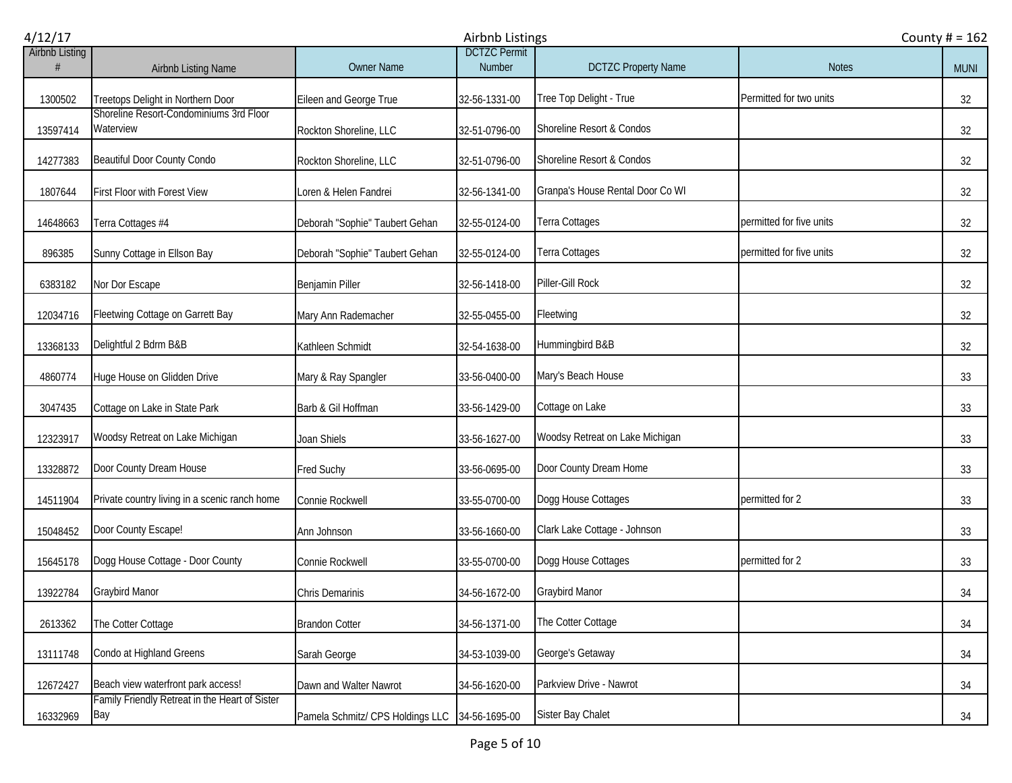| 4/12/17               |                                                       |                                  | Airbnb Listings               |                                  | County $# = 162$         |             |
|-----------------------|-------------------------------------------------------|----------------------------------|-------------------------------|----------------------------------|--------------------------|-------------|
| <b>Airbnb Listing</b> | Airbnb Listing Name                                   | Owner Name                       | <b>DCTZC Permit</b><br>Number | <b>DCTZC Property Name</b>       | <b>Notes</b>             | <b>MUNI</b> |
| 1300502               | Treetops Delight in Northern Door                     | Eileen and George True           | 32-56-1331-00                 | Tree Top Delight - True          | Permitted for two units  | 32          |
| 13597414              | Shoreline Resort-Condominiums 3rd Floor<br>Waterview  | Rockton Shoreline, LLC           | 32-51-0796-00                 | Shoreline Resort & Condos        |                          | 32          |
| 14277383              | <b>Beautiful Door County Condo</b>                    | Rockton Shoreline, LLC           | 32-51-0796-00                 | Shoreline Resort & Condos        |                          | 32          |
| 1807644               | <b>First Floor with Forest View</b>                   | Loren & Helen Fandrei            | 32-56-1341-00                 | Granpa's House Rental Door Co WI |                          | 32          |
| 14648663              | Terra Cottages #4                                     | Deborah "Sophie" Taubert Gehan   | 32-55-0124-00                 | Terra Cottages                   | permitted for five units | 32          |
| 896385                | Sunny Cottage in Ellson Bay                           | Deborah "Sophie" Taubert Gehan   | 32-55-0124-00                 | Terra Cottages                   | permitted for five units | 32          |
| 6383182               | Nor Dor Escape                                        | <b>Benjamin Piller</b>           | 32-56-1418-00                 | Piller-Gill Rock                 |                          | 32          |
| 12034716              | Fleetwing Cottage on Garrett Bay                      | Mary Ann Rademacher              | 32-55-0455-00                 | Fleetwing                        |                          | 32          |
| 13368133              | Delightful 2 Bdrm B&B                                 | Kathleen Schmidt                 | 32-54-1638-00                 | Hummingbird B&B                  |                          | 32          |
| 4860774               | Huge House on Glidden Drive                           | Mary & Ray Spangler              | 33-56-0400-00                 | Mary's Beach House               |                          | 33          |
| 3047435               | Cottage on Lake in State Park                         | Barb & Gil Hoffman               | 33-56-1429-00                 | Cottage on Lake                  |                          | 33          |
| 12323917              | Woodsy Retreat on Lake Michigan                       | Joan Shiels                      | 33-56-1627-00                 | Woodsy Retreat on Lake Michigan  |                          | 33          |
| 13328872              | Door County Dream House                               | <b>Fred Suchy</b>                | 33-56-0695-00                 | Door County Dream Home           |                          | 33          |
| 14511904              | Private country living in a scenic ranch home         | Connie Rockwell                  | 33-55-0700-00                 | Dogg House Cottages              | permitted for 2          | 33          |
| 15048452              | Door County Escape!                                   | Ann Johnson                      | 33-56-1660-00                 | Clark Lake Cottage - Johnson     |                          | 33          |
| 15645178              | Dogg House Cottage - Door County                      | Connie Rockwell                  | 33-55-0700-00                 | Dogg House Cottages              | permitted for 2          | 33          |
| 13922784              | <b>Graybird Manor</b>                                 | Chris Demarinis                  | 34-56-1672-00                 | Graybird Manor                   |                          | 34          |
| 2613362               | The Cotter Cottage                                    | <b>Brandon Cotter</b>            | 34-56-1371-00                 | The Cotter Cottage               |                          | 34          |
| 13111748              | Condo at Highland Greens                              | Sarah George                     | 34-53-1039-00                 | George's Getaway                 |                          | 34          |
| 12672427              | Beach view waterfront park access!                    | Dawn and Walter Nawrot           | 34-56-1620-00                 | Parkview Drive - Nawrot          |                          | 34          |
| 16332969              | Family Friendly Retreat in the Heart of Sister<br>Bay | Pamela Schmitz/ CPS Holdings LLC | 34-56-1695-00                 | Sister Bay Chalet                |                          | 34          |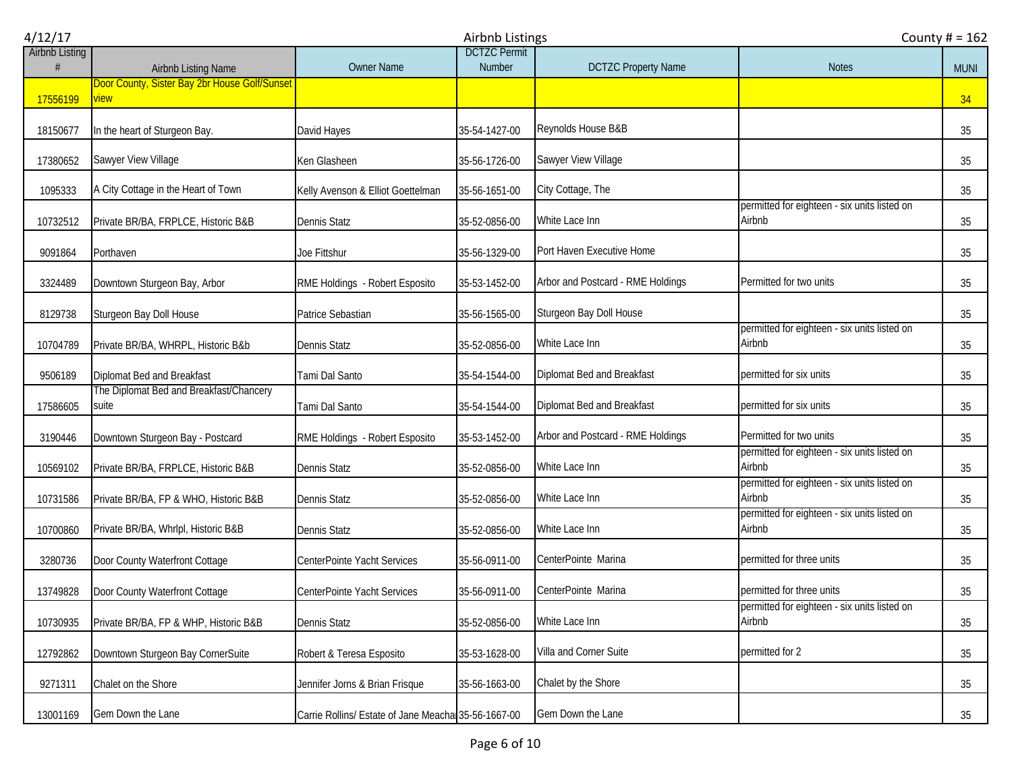| 4/12/17               |                                                  |                                                     | Airbnb Listings               | County $# = 162$                  |                                                        |             |
|-----------------------|--------------------------------------------------|-----------------------------------------------------|-------------------------------|-----------------------------------|--------------------------------------------------------|-------------|
| <b>Airbnb Listing</b> | Airbnb Listing Name                              | <b>Owner Name</b>                                   | <b>DCTZC Permit</b><br>Number | <b>DCTZC Property Name</b>        | <b>Notes</b>                                           | <b>MUNI</b> |
|                       | Door County, Sister Bay 2br House Golf/Sunset    |                                                     |                               |                                   |                                                        |             |
| 17556199              | <u>view</u>                                      |                                                     |                               |                                   |                                                        | 34          |
| 18150677              | In the heart of Sturgeon Bay.                    | David Hayes                                         | 35-54-1427-00                 | Reynolds House B&B                |                                                        | 35          |
| 17380652              | Sawyer View Village                              | Ken Glasheen                                        | 35-56-1726-00                 | Sawyer View Village               |                                                        | 35          |
| 1095333               | A City Cottage in the Heart of Town              | Kelly Avenson & Elliot Goettelman                   | 35-56-1651-00                 | City Cottage, The                 |                                                        | 35          |
| 10732512              | Private BR/BA, FRPLCE, Historic B&B              | <b>Dennis Statz</b>                                 | 35-52-0856-00                 | White Lace Inn                    | permitted for eighteen - six units listed on<br>Airbnb | 35          |
| 9091864               | Porthaven                                        | Joe Fittshur                                        | 35-56-1329-00                 | Port Haven Executive Home         |                                                        | 35          |
| 3324489               | Downtown Sturgeon Bay, Arbor                     | RME Holdings - Robert Esposito                      | 35-53-1452-00                 | Arbor and Postcard - RME Holdings | Permitted for two units                                | 35          |
| 8129738               | Sturgeon Bay Doll House                          | Patrice Sebastian                                   | 35-56-1565-00                 | Sturgeon Bay Doll House           |                                                        | 35          |
| 10704789              | Private BR/BA, WHRPL, Historic B&b               | <b>Dennis Statz</b>                                 | 35-52-0856-00                 | White Lace Inn                    | permitted for eighteen - six units listed on<br>Airbnb | 35          |
| 9506189               | Diplomat Bed and Breakfast                       | Tami Dal Santo                                      | 35-54-1544-00                 | Diplomat Bed and Breakfast        | permitted for six units                                | 35          |
| 17586605              | The Diplomat Bed and Breakfast/Chancery<br>suite | Tami Dal Santo                                      | 35-54-1544-00                 | Diplomat Bed and Breakfast        | permitted for six units                                | 35          |
| 3190446               | Downtown Sturgeon Bay - Postcard                 | RME Holdings - Robert Esposito                      | 35-53-1452-00                 | Arbor and Postcard - RME Holdings | Permitted for two units                                | 35          |
| 10569102              | Private BR/BA, FRPLCE, Historic B&B              | <b>Dennis Statz</b>                                 | 35-52-0856-00                 | White Lace Inn                    | permitted for eighteen - six units listed on<br>Airbnb | 35          |
| 10731586              | Private BR/BA, FP & WHO, Historic B&B            | <b>Dennis Statz</b>                                 | 35-52-0856-00                 | White Lace Inn                    | permitted for eighteen - six units listed on<br>Airbnb | 35          |
| 10700860              | Private BR/BA, Whrlpl, Historic B&B              | <b>Dennis Statz</b>                                 | 35-52-0856-00                 | White Lace Inn                    | permitted for eighteen - six units listed on<br>Airbnb | 35          |
| 3280736               | Door County Waterfront Cottage                   | CenterPointe Yacht Services                         | 35-56-0911-00                 | CenterPointe Marina               | permitted for three units                              | 35          |
| 13749828              | Door County Waterfront Cottage                   | CenterPointe Yacht Services                         | 35-56-0911-00                 | CenterPointe Marina               | permitted for three units                              | 35          |
| 10730935              | Private BR/BA, FP & WHP, Historic B&B            | <b>Dennis Statz</b>                                 | 35-52-0856-00                 | White Lace Inn                    | permitted for eighteen - six units listed on<br>Airbnb | 35          |
| 12792862              | Downtown Sturgeon Bay CornerSuite                | Robert & Teresa Esposito                            | 35-53-1628-00                 | Villa and Corner Suite            | permitted for 2                                        | 35          |
| 9271311               | Chalet on the Shore                              | Jennifer Jorns & Brian Frisque                      | 35-56-1663-00                 | Chalet by the Shore               |                                                        | 35          |
| 13001169              | Gem Down the Lane                                | Carrie Rollins/ Estate of Jane Meacha 35-56-1667-00 |                               | Gem Down the Lane                 |                                                        | 35          |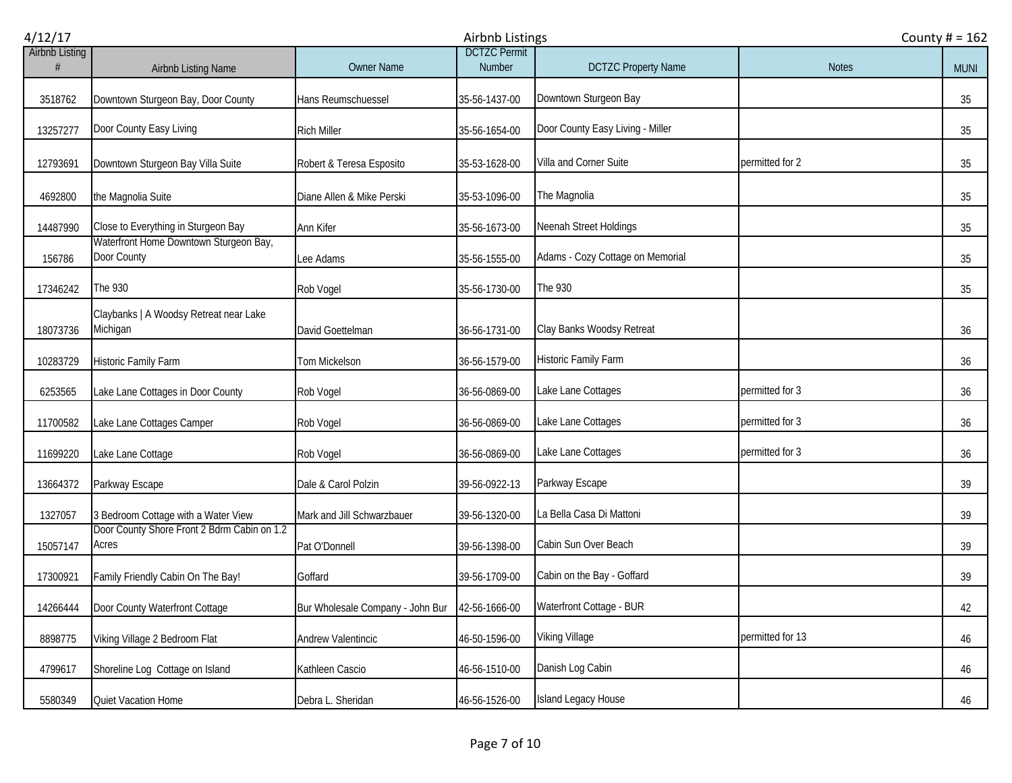| 4/12/17               |                                                       |                                  | County $# = 162$                     |                                  |                  |             |
|-----------------------|-------------------------------------------------------|----------------------------------|--------------------------------------|----------------------------------|------------------|-------------|
| <b>Airbnb Listing</b> | Airbnb Listing Name                                   | <b>Owner Name</b>                | <b>DCTZC Permit</b><br><b>Number</b> | <b>DCTZC Property Name</b>       | <b>Notes</b>     | <b>MUNI</b> |
| 3518762               | Downtown Sturgeon Bay, Door County                    | Hans Reumschuessel               | 35-56-1437-00                        | Downtown Sturgeon Bay            |                  | 35          |
| 13257277              | Door County Easy Living                               | <b>Rich Miller</b>               | 35-56-1654-00                        | Door County Easy Living - Miller |                  | 35          |
| 12793691              | Downtown Sturgeon Bay Villa Suite                     | Robert & Teresa Esposito         | 35-53-1628-00                        | Villa and Corner Suite           | permitted for 2  | 35          |
| 4692800               | the Magnolia Suite                                    | Diane Allen & Mike Perski        | 35-53-1096-00                        | The Magnolia                     |                  | 35          |
| 14487990              | Close to Everything in Sturgeon Bay                   | Ann Kifer                        | 35-56-1673-00                        | Neenah Street Holdings           |                  | 35          |
| 156786                | Waterfront Home Downtown Sturgeon Bay,<br>Door County | Lee Adams                        | 35-56-1555-00                        | Adams - Cozy Cottage on Memorial |                  | 35          |
| 17346242              | The 930                                               | Rob Vogel                        | 35-56-1730-00                        | The 930                          |                  | 35          |
| 18073736              | Claybanks   A Woodsy Retreat near Lake<br>Michigan    | David Goettelman                 | 36-56-1731-00                        | Clay Banks Woodsy Retreat        |                  | 36          |
| 10283729              | Historic Family Farm                                  | Tom Mickelson                    | 36-56-1579-00                        | <b>Historic Family Farm</b>      |                  | 36          |
| 6253565               | Lake Lane Cottages in Door County                     | Rob Vogel                        | 36-56-0869-00                        | Lake Lane Cottages               | permitted for 3  | 36          |
| 11700582              | Lake Lane Cottages Camper                             | Rob Vogel                        | 36-56-0869-00                        | Lake Lane Cottages               | permitted for 3  | 36          |
| 11699220              | Lake Lane Cottage                                     | Rob Vogel                        | 36-56-0869-00                        | Lake Lane Cottages               | permitted for 3  | 36          |
| 13664372              | Parkway Escape                                        | Dale & Carol Polzin              | 39-56-0922-13                        | Parkway Escape                   |                  | 39          |
| 1327057               | 3 Bedroom Cottage with a Water View                   | Mark and Jill Schwarzbauer       | 39-56-1320-00                        | La Bella Casa Di Mattoni         |                  | 39          |
| 15057147              | Door County Shore Front 2 Bdrm Cabin on 1.2<br>Acres  | Pat O'Donnell                    | 39-56-1398-00                        | Cabin Sun Over Beach             |                  | 39          |
| 17300921              | Family Friendly Cabin On The Bay!                     | Goffard                          | 39-56-1709-00                        | Cabin on the Bay - Goffard       |                  | 39          |
| 14266444              | Door County Waterfront Cottage                        | Bur Wholesale Company - John Bur | 42-56-1666-00                        | Waterfront Cottage - BUR         |                  | 42          |
| 8898775               | Viking Village 2 Bedroom Flat                         | <b>Andrew Valentincic</b>        | 46-50-1596-00                        | Viking Village                   | permitted for 13 | 46          |
| 4799617               | Shoreline Log Cottage on Island                       | Kathleen Cascio                  | 46-56-1510-00                        | Danish Log Cabin                 |                  | 46          |
| 5580349               | Quiet Vacation Home                                   | Debra L. Sheridan                | 46-56-1526-00                        | Island Legacy House              |                  | 46          |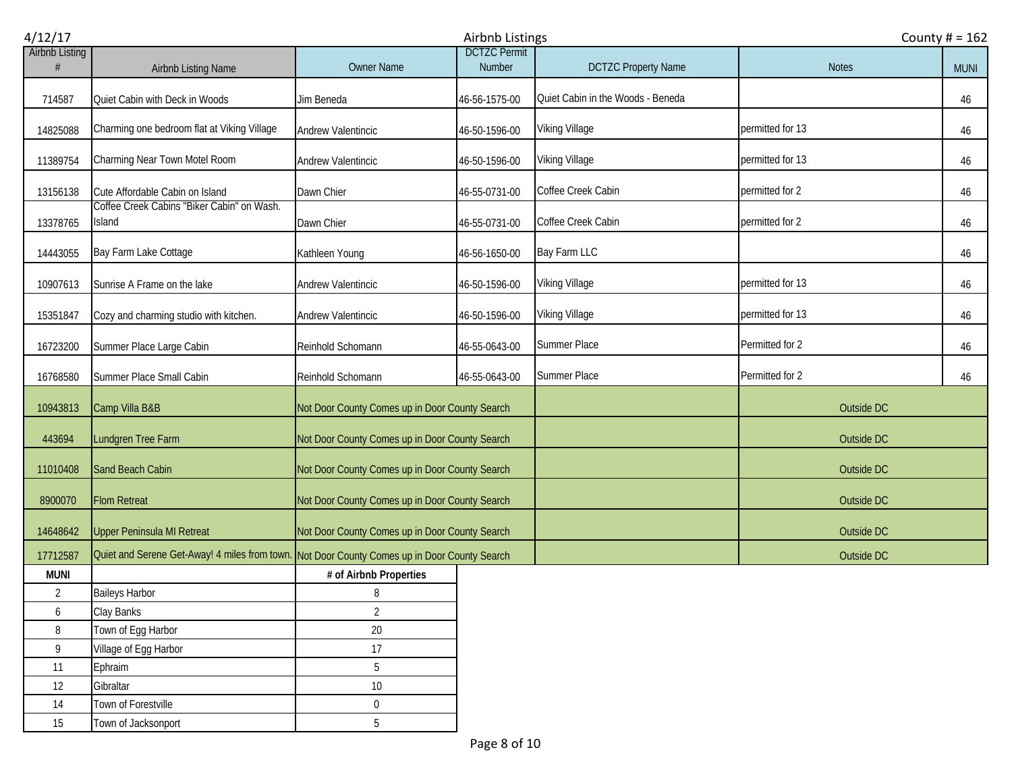| 4/12/17               |                                                                                              |                                                | Airbnb Listings               |                                   |                  | County $# = 162$ |  |
|-----------------------|----------------------------------------------------------------------------------------------|------------------------------------------------|-------------------------------|-----------------------------------|------------------|------------------|--|
| <b>Airbnb Listing</b> | Airbnb Listing Name                                                                          | <b>Owner Name</b>                              | <b>DCTZC Permit</b><br>Number | <b>DCTZC Property Name</b>        | <b>Notes</b>     | <b>MUNI</b>      |  |
| 714587                | Quiet Cabin with Deck in Woods                                                               | Jim Beneda                                     | 46-56-1575-00                 | Quiet Cabin in the Woods - Beneda |                  | 46               |  |
| 14825088              | Charming one bedroom flat at Viking Village                                                  | Andrew Valentincic                             | 46-50-1596-00                 | Viking Village                    | permitted for 13 | 46               |  |
| 11389754              | Charming Near Town Motel Room                                                                | Andrew Valentincic                             | 46-50-1596-00                 | Viking Village                    | permitted for 13 | 46               |  |
| 13156138              | Cute Affordable Cabin on Island                                                              | Dawn Chier                                     | 46-55-0731-00                 | Coffee Creek Cabin                | permitted for 2  | 46               |  |
| 13378765              | Coffee Creek Cabins "Biker Cabin" on Wash.<br><b>Island</b>                                  | Dawn Chier                                     | 46-55-0731-00                 | Coffee Creek Cabin                | permitted for 2  | 46               |  |
| 14443055              | Bay Farm Lake Cottage                                                                        | Kathleen Young                                 | 46-56-1650-00                 | Bay Farm LLC                      |                  | 46               |  |
| 10907613              | Sunrise A Frame on the lake                                                                  | <b>Andrew Valentincic</b>                      | 46-50-1596-00                 | Viking Village                    | permitted for 13 | 46               |  |
| 15351847              | Cozy and charming studio with kitchen.                                                       | Andrew Valentincic                             | 46-50-1596-00                 | Viking Village                    | permitted for 13 | 46               |  |
| 16723200              | Summer Place Large Cabin                                                                     | Reinhold Schomann                              | 46-55-0643-00                 | Summer Place                      | Permitted for 2  | 46               |  |
| 16768580              | Summer Place Small Cabin                                                                     | Reinhold Schomann                              | 46-55-0643-00                 | Summer Place                      | Permitted for 2  | 46               |  |
| 10943813              | Camp Villa B&B                                                                               | Not Door County Comes up in Door County Search |                               |                                   | Outside DC       |                  |  |
| 443694                | Lundgren Tree Farm                                                                           | Not Door County Comes up in Door County Search |                               |                                   | Outside DC       |                  |  |
| 11010408              | Sand Beach Cabin                                                                             | Not Door County Comes up in Door County Search |                               |                                   | Outside DC       |                  |  |
| 8900070               | <b>Flom Retreat</b>                                                                          | Not Door County Comes up in Door County Search |                               |                                   | Outside DC       |                  |  |
| 14648642              | <b>Upper Peninsula MI Retreat</b>                                                            | Not Door County Comes up in Door County Search |                               |                                   | Outside DC       |                  |  |
| 17712587              | Quiet and Serene Get-Away! 4 miles from town. Not Door County Comes up in Door County Search |                                                |                               |                                   | Outside DC       |                  |  |
| <b>MUNI</b>           |                                                                                              | # of Airbnb Properties                         |                               |                                   |                  |                  |  |
| $\overline{2}$        | <b>Baileys Harbor</b>                                                                        | 8                                              |                               |                                   |                  |                  |  |
| 6                     | Clay Banks                                                                                   | $\overline{2}$                                 |                               |                                   |                  |                  |  |
| 8                     | Town of Egg Harbor                                                                           | 20                                             |                               |                                   |                  |                  |  |
| 9                     | Village of Egg Harbor                                                                        | 17                                             |                               |                                   |                  |                  |  |
| 11                    | Ephraim                                                                                      | 5                                              |                               |                                   |                  |                  |  |
| 12                    | Gibraltar                                                                                    | $10\,$                                         |                               |                                   |                  |                  |  |
| 14                    | Town of Forestville                                                                          | $\boldsymbol{0}$                               |                               |                                   |                  |                  |  |
| 15                    | Town of Jacksonport                                                                          | 5                                              |                               |                                   |                  |                  |  |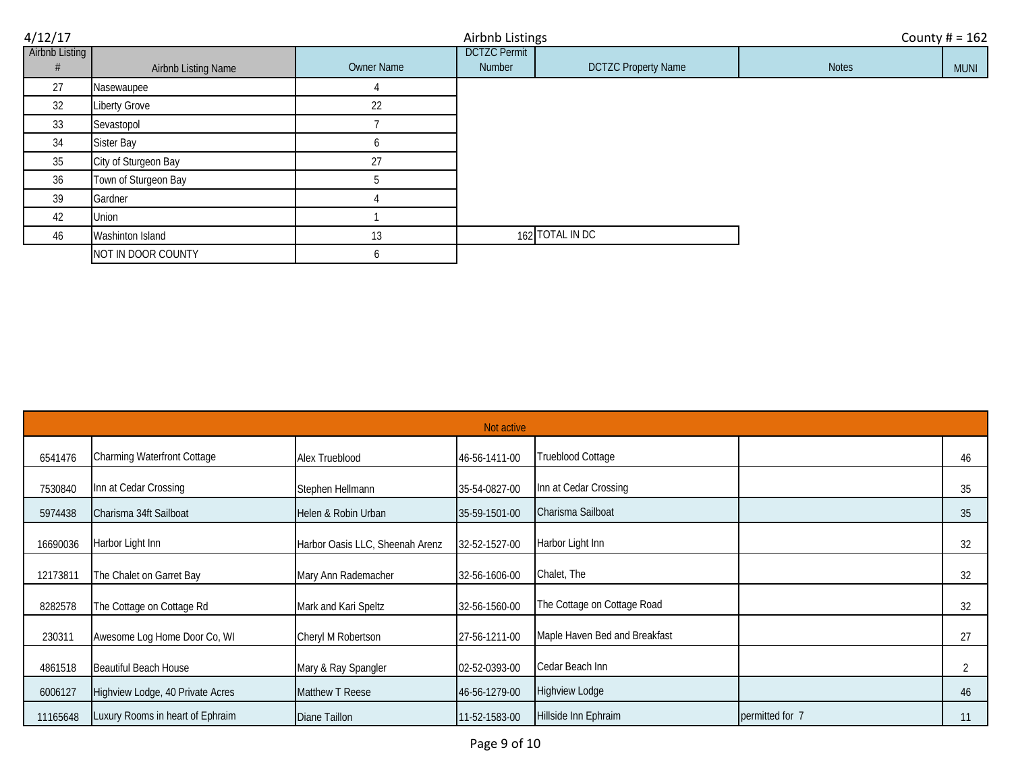| 4/12/17        |                      |            | Airbnb Listings     |                            |              | County $# = 162$ |
|----------------|----------------------|------------|---------------------|----------------------------|--------------|------------------|
| Airbnb Listing |                      |            | <b>DCTZC Permit</b> |                            |              |                  |
|                | Airbnb Listing Name  | Owner Name | Number              | <b>DCTZC Property Name</b> | <b>Notes</b> | <b>MUNI</b>      |
| 27             | Nasewaupee           |            |                     |                            |              |                  |
| 32             | <b>Liberty Grove</b> | 22         |                     |                            |              |                  |
| 33             | Sevastopol           |            |                     |                            |              |                  |
| 34             | Sister Bay           |            |                     |                            |              |                  |
| 35             | City of Sturgeon Bay | 27         |                     |                            |              |                  |
| 36             | Town of Sturgeon Bay |            |                     |                            |              |                  |
| 39             | Gardner              |            |                     |                            |              |                  |
| 42             | Union                |            |                     |                            |              |                  |
| 46             | Washinton Island     | 13         |                     | 162 TOTAL IN DC            |              |                  |
|                | NOT IN DOOR COUNTY   | o          |                     |                            |              |                  |

|          | Not active                         |                                 |               |                               |                 |    |  |  |
|----------|------------------------------------|---------------------------------|---------------|-------------------------------|-----------------|----|--|--|
| 6541476  | <b>Charming Waterfront Cottage</b> | Alex Trueblood                  | 46-56-1411-00 | Trueblood Cottage             |                 | 46 |  |  |
| 7530840  | Inn at Cedar Crossing              | Stephen Hellmann                | 35-54-0827-00 | Inn at Cedar Crossing         |                 | 35 |  |  |
| 5974438  | Charisma 34ft Sailboat             | Helen & Robin Urban             | 35-59-1501-00 | Charisma Sailboat             |                 | 35 |  |  |
| 16690036 | Harbor Light Inn                   | Harbor Oasis LLC, Sheenah Arenz | 32-52-1527-00 | Harbor Light Inn              |                 | 32 |  |  |
| 12173811 | The Chalet on Garret Bay           | Mary Ann Rademacher             | 32-56-1606-00 | Chalet, The                   |                 | 32 |  |  |
| 8282578  | The Cottage on Cottage Rd          | Mark and Kari Speltz            | 32-56-1560-00 | The Cottage on Cottage Road   |                 | 32 |  |  |
| 230311   | Awesome Log Home Door Co, WI       | Cheryl M Robertson              | 27-56-1211-00 | Maple Haven Bed and Breakfast |                 | 27 |  |  |
| 4861518  | Beautiful Beach House              | Mary & Ray Spangler             | 02-52-0393-00 | Cedar Beach Inn               |                 | 2  |  |  |
| 6006127  | Highview Lodge, 40 Private Acres   | Matthew T Reese                 | 46-56-1279-00 | <b>Highview Lodge</b>         |                 | 46 |  |  |
| 11165648 | Luxury Rooms in heart of Ephraim   | Diane Taillon                   | 11-52-1583-00 | Hillside Inn Ephraim          | permitted for 7 | 11 |  |  |